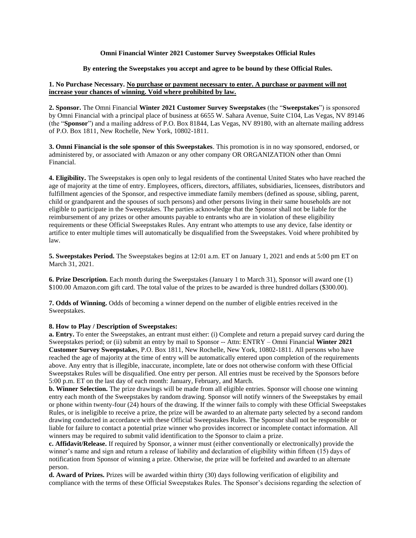### **Omni Financial Winter 2021 Customer Survey Sweepstakes Official Rules**

# **By entering the Sweepstakes you accept and agree to be bound by these Official Rules.**

# **1. No Purchase Necessary. No purchase or payment necessary to enter. A purchase or payment will not increase your chances of winning. Void where prohibited by law.**

**2. Sponsor.** The Omni Financial **Winter 2021 Customer Survey Sweepstakes** (the "**Sweepstakes**") is sponsored by Omni Financial with a principal place of business at 6655 W. Sahara Avenue, Suite C104, Las Vegas, NV 89146 (the "**Sponsor**") and a mailing address of P.O. Box 81844, Las Vegas, NV 89180, with an alternate mailing address of P.O. Box 1811, New Rochelle, New York, 10802-1811.

**3. Omni Financial is the sole sponsor of this Sweepstakes**. This promotion is in no way sponsored, endorsed, or administered by, or associated with Amazon or any other company OR ORGANIZATION other than Omni Financial.

**4. Eligibility.** The Sweepstakes is open only to legal residents of the continental United States who have reached the age of majority at the time of entry. Employees, officers, directors, affiliates, subsidiaries, licensees, distributors and fulfillment agencies of the Sponsor, and respective immediate family members (defined as spouse, sibling, parent, child or grandparent and the spouses of such persons) and other persons living in their same households are not eligible to participate in the Sweepstakes. The parties acknowledge that the Sponsor shall not be liable for the reimbursement of any prizes or other amounts payable to entrants who are in violation of these eligibility requirements or these Official Sweepstakes Rules. Any entrant who attempts to use any device, false identity or artifice to enter multiple times will automatically be disqualified from the Sweepstakes. Void where prohibited by law.

**5. Sweepstakes Period.** The Sweepstakes begins at 12:01 a.m. ET on January 1, 2021 and ends at 5:00 pm ET on March 31, 2021.

**6. Prize Description.** Each month during the Sweepstakes (January 1 to March 31), Sponsor will award one (1) \$100.00 Amazon.com gift card. The total value of the prizes to be awarded is three hundred dollars (\$300.00).

**7. Odds of Winning.** Odds of becoming a winner depend on the number of eligible entries received in the Sweepstakes.

### **8. How to Play / Description of Sweepstakes:**

**a. Entry.** To enter the Sweepstakes, an entrant must either: (i) Complete and return a prepaid survey card during the Sweepstakes period; or (ii) submit an entry by mail to Sponsor -- Attn: ENTRY – Omni Financial **Winter 2021 Customer Survey Sweepstake**s, P.O. Box 1811, New Rochelle, New York, 10802-1811. All persons who have reached the age of majority at the time of entry will be automatically entered upon completion of the requirements above. Any entry that is illegible, inaccurate, incomplete, late or does not otherwise conform with these Official Sweepstakes Rules will be disqualified. One entry per person. All entries must be received by the Sponsors before 5:00 p.m. ET on the last day of each month: January, February, and March.

**b. Winner Selection.** The prize drawings will be made from all eligible entries. Sponsor will choose one winning entry each month of the Sweepstakes by random drawing. Sponsor will notify winners of the Sweepstakes by email or phone within twenty-four (24) hours of the drawing. If the winner fails to comply with these Official Sweepstakes Rules, or is ineligible to receive a prize, the prize will be awarded to an alternate party selected by a second random drawing conducted in accordance with these Official Sweepstakes Rules. The Sponsor shall not be responsible or liable for failure to contact a potential prize winner who provides incorrect or incomplete contact information. All winners may be required to submit valid identification to the Sponsor to claim a prize.

**c. Affidavit/Release.** If required by Sponsor, a winner must (either conventionally or electronically) provide the winner's name and sign and return a release of liability and declaration of eligibility within fifteen (15) days of notification from Sponsor of winning a prize. Otherwise, the prize will be forfeited and awarded to an alternate person.

**d. Award of Prizes.** Prizes will be awarded within thirty (30) days following verification of eligibility and compliance with the terms of these Official Sweepstakes Rules. The Sponsor's decisions regarding the selection of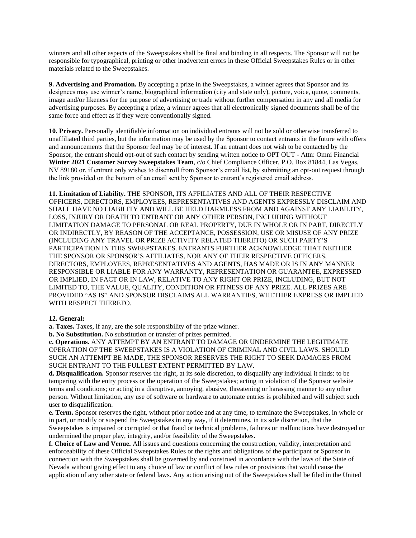winners and all other aspects of the Sweepstakes shall be final and binding in all respects. The Sponsor will not be responsible for typographical, printing or other inadvertent errors in these Official Sweepstakes Rules or in other materials related to the Sweepstakes.

**9. Advertising and Promotion.** By accepting a prize in the Sweepstakes, a winner agrees that Sponsor and its designees may use winner's name, biographical information (city and state only), picture, voice, quote, comments, image and/or likeness for the purpose of advertising or trade without further compensation in any and all media for advertising purposes. By accepting a prize, a winner agrees that all electronically signed documents shall be of the same force and effect as if they were conventionally signed.

**10. Privacy.** Personally identifiable information on individual entrants will not be sold or otherwise transferred to unaffiliated third parties, but the information may be used by the Sponsor to contact entrants in the future with offers and announcements that the Sponsor feel may be of interest. If an entrant does not wish to be contacted by the Sponsor, the entrant should opt-out of such contact by sending written notice to OPT OUT - Attn: Omni Financial **Winter 2021 Customer Survey Sweepstakes Team**, c/o Chief Compliance Officer, P.O. Box 81844, Las Vegas, NV 89180 or, if entrant only wishes to disenroll from Sponsor's email list, by submitting an opt-out request through the link provided on the bottom of an email sent by Sponsor to entrant's registered email address.

**11. Limitation of Liability.** THE SPONSOR, ITS AFFILIATES AND ALL OF THEIR RESPECTIVE OFFICERS, DIRECTORS, EMPLOYEES, REPRESENTATIVES AND AGENTS EXPRESSLY DISCLAIM AND SHALL HAVE NO LIABILITY AND WILL BE HELD HARMLESS FROM AND AGAINST ANY LIABILITY, LOSS, INJURY OR DEATH TO ENTRANT OR ANY OTHER PERSON, INCLUDING WITHOUT LIMITATION DAMAGE TO PERSONAL OR REAL PROPERTY, DUE IN WHOLE OR IN PART, DIRECTLY OR INDIRECTLY, BY REASON OF THE ACCEPTANCE, POSSESSION, USE OR MISUSE OF ANY PRIZE (INCLUDING ANY TRAVEL OR PRIZE ACTIVITY RELATED THERETO) OR SUCH PARTY'S PARTICIPATION IN THIS SWEEPSTAKES. ENTRANTS FURTHER ACKNOWLEDGE THAT NEITHER THE SPONSOR OR SPONSOR'S AFFILIATES, NOR ANY OF THEIR RESPECTIVE OFFICERS, DIRECTORS, EMPLOYEES, REPRESENTATIVES AND AGENTS, HAS MADE OR IS IN ANY MANNER RESPONSIBLE OR LIABLE FOR ANY WARRANTY, REPRESENTATION OR GUARANTEE, EXPRESSED OR IMPLIED, IN FACT OR IN LAW, RELATIVE TO ANY RIGHT OR PRIZE, INCLUDING, BUT NOT LIMITED TO, THE VALUE, QUALITY, CONDITION OR FITNESS OF ANY PRIZE. ALL PRIZES ARE PROVIDED "AS IS" AND SPONSOR DISCLAIMS ALL WARRANTIES, WHETHER EXPRESS OR IMPLIED WITH RESPECT THERETO.

### **12. General:**

**a. Taxes.** Taxes, if any, are the sole responsibility of the prize winner.

**b. No Substitution.** No substitution or transfer of prizes permitted.

**c. Operations.** ANY ATTEMPT BY AN ENTRANT TO DAMAGE OR UNDERMINE THE LEGITIMATE OPERATION OF THE SWEEPSTAKES IS A VIOLATION OF CRIMINAL AND CIVIL LAWS. SHOULD SUCH AN ATTEMPT BE MADE, THE SPONSOR RESERVES THE RIGHT TO SEEK DAMAGES FROM SUCH ENTRANT TO THE FULLEST EXTENT PERMITTED BY LAW.

**d. Disqualification.** Sponsor reserves the right, at its sole discretion, to disqualify any individual it finds: to be tampering with the entry process or the operation of the Sweepstakes; acting in violation of the Sponsor website terms and conditions; or acting in a disruptive, annoying, abusive, threatening or harassing manner to any other person. Without limitation, any use of software or hardware to automate entries is prohibited and will subject such user to disqualification.

**e. Term.** Sponsor reserves the right, without prior notice and at any time, to terminate the Sweepstakes, in whole or in part, or modify or suspend the Sweepstakes in any way, if it determines, in its sole discretion, that the Sweepstakes is impaired or corrupted or that fraud or technical problems, failures or malfunctions have destroyed or undermined the proper play, integrity, and/or feasibility of the Sweepstakes.

**f. Choice of Law and Venue.** All issues and questions concerning the construction, validity, interpretation and enforceability of these Official Sweepstakes Rules or the rights and obligations of the participant or Sponsor in connection with the Sweepstakes shall be governed by and construed in accordance with the laws of the State of Nevada without giving effect to any choice of law or conflict of law rules or provisions that would cause the application of any other state or federal laws. Any action arising out of the Sweepstakes shall be filed in the United